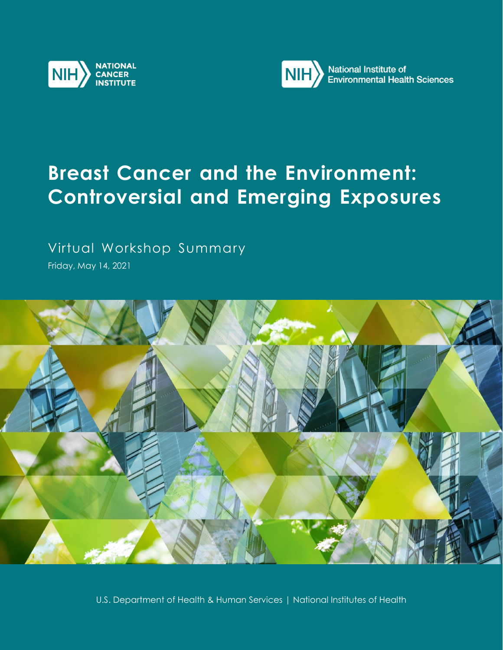



# **Breast Cancer and the Environment: Controversial and Emerging Exposures**

## Virtual Workshop Summary

Friday, May 14, 2021



U.S. Department of Health & Human Services | National Institutes of Health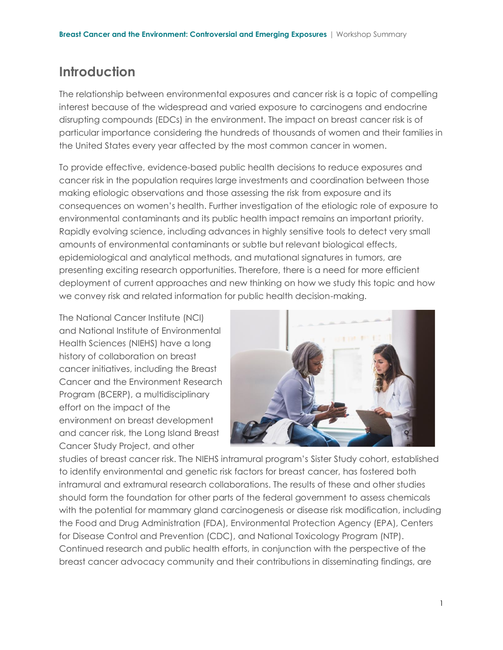## **Introduction**

The relationship between environmental exposures and cancer risk is a topic of compelling interest because of the widespread and varied exposure to carcinogens and endocrine disrupting compounds (EDCs) in the environment. The impact on breast cancer risk is of particular importance considering the hundreds of thousands of women and their families in the United States every year affected by the most common cancer in women.

To provide effective, evidence-based public health decisions to reduce exposures and cancer risk in the population requires large investments and coordination between those making etiologic observations and those assessing the risk from exposure and its consequences on women's health. Further investigation of the etiologic role of exposure to environmental contaminants and its public health impact remains an important priority. Rapidly evolving science, including advances in highly sensitive tools to detect very small amounts of environmental contaminants or subtle but relevant biological effects, epidemiological and analytical methods, and mutational signatures in tumors, are presenting exciting research opportunities. Therefore, there is a need for more efficient deployment of current approaches and new thinking on how we study this topic and how we convey risk and related information for public health decision-making.

The National Cancer Institute (NCI) and National Institute of Environmental Health Sciences (NIEHS) have a long history of collaboration on breast cancer initiatives, including the Breast Cancer and the Environment Research Program (BCERP), a multidisciplinary effort on the impact of the environment on breast development and cancer risk, the Long Island Breast Cancer Study Project, and other



studies of breast cancer risk. The NIEHS intramural program's Sister Study cohort, established to identify environmental and genetic risk factors for breast cancer, has fostered both intramural and extramural research collaborations. The results of these and other studies should form the foundation for other parts of the federal government to assess chemicals with the potential for mammary gland carcinogenesis or disease risk modification, including the Food and Drug Administration (FDA), Environmental Protection Agency (EPA), Centers for Disease Control and Prevention (CDC), and National Toxicology Program (NTP). Continued research and public health efforts, in conjunction with the perspective of the breast cancer advocacy community and their contributions in disseminating findings, are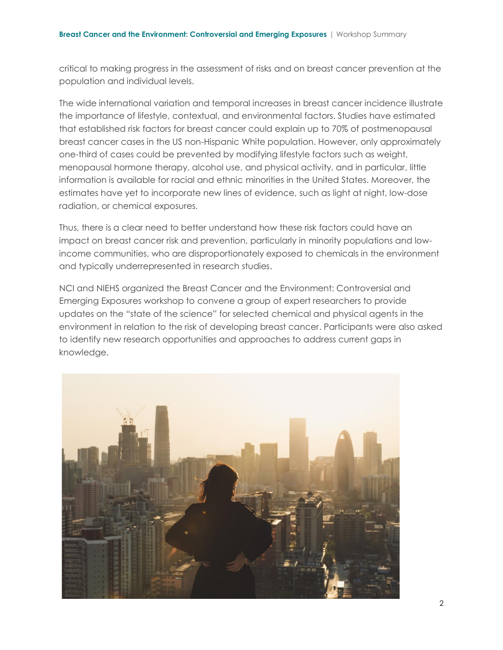critical to making progress in the assessment of risks and on breast cancer prevention at the population and individual levels.

The wide international variation and temporal increases in breast cancer incidence illustrate the importance of lifestyle, contextual, and environmental factors. Studies have estimated that established risk factors for breast cancer could explain up to 70% of postmenopausal breast cancer cases in the US non-Hispanic White population. However, only approximately one-third of cases could be prevented by modifying lifestyle factors such as weight, menopausal hormone therapy, alcohol use, and physical activity, and in particular, little information is available for racial and ethnic minorities in the United States. Moreover, the estimates have yet to incorporate new lines of evidence, such as light at night, low-dose radiation, or chemical exposures.

Thus, there is a clear need to better understand how these risk factors could have an impact on breast cancer risk and prevention, particularly in minority populations and lowincome communities, who are disproportionately exposed to chemicals in the environment and typically underrepresented in research studies.

NCI and NIEHS organized the Breast Cancer and the Environment: Controversial and Emerging Exposures workshop to convene a group of expert researchers to provide updates on the "state of the science" for selected chemical and physical agents in the environment in relation to the risk of developing breast cancer. Participants were also asked to identify new research opportunities and approaches to address current gaps in knowledge.

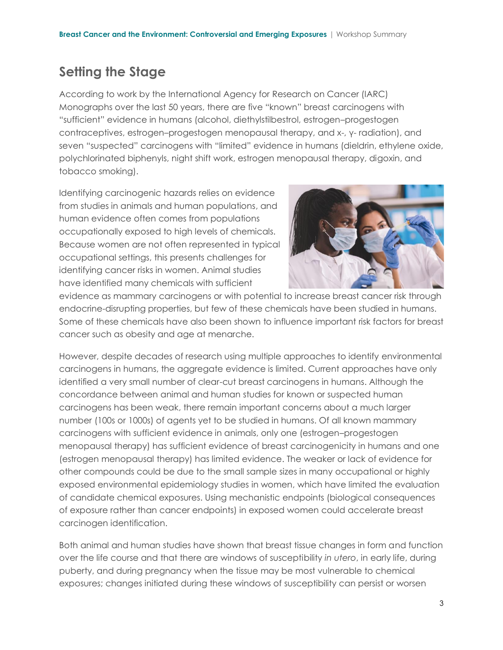## **Setting the Stage**

According to work by the International Agency for Research on Cancer (IARC) Monographs over the last 50 years, there are five "known" breast carcinogens with "sufficient" evidence in humans (alcohol, diethylstilbestrol, estrogen–progestogen contraceptives, estrogen–progestogen menopausal therapy, and x-, γ- radiation), and seven "suspected" carcinogens with "limited" evidence in humans (dieldrin, ethylene oxide, polychlorinated biphenyls, night shift work, estrogen menopausal therapy, digoxin, and tobacco smoking).

Identifying carcinogenic hazards relies on evidence from studies in animals and human populations, and human evidence often comes from populations occupationally exposed to high levels of chemicals. Because women are not often represented in typical occupational settings, this presents challenges for identifying cancer risks in women. Animal studies have identified many chemicals with sufficient



evidence as mammary carcinogens or with potential to increase breast cancer risk through endocrine-disrupting properties, but few of these chemicals have been studied in humans. Some of these chemicals have also been shown to influence important risk factors for breast cancer such as obesity and age at menarche.

However, despite decades of research using multiple approaches to identify environmental carcinogens in humans, the aggregate evidence is limited. Current approaches have only identified a very small number of clear-cut breast carcinogens in humans. Although the concordance between animal and human studies for known or suspected human carcinogens has been weak, there remain important concerns about a much larger number (100s or 1000s) of agents yet to be studied in humans. Of all known mammary carcinogens with sufficient evidence in animals, only one (estrogen–progestogen menopausal therapy) has sufficient evidence of breast carcinogenicity in humans and one (estrogen menopausal therapy) has limited evidence. The weaker or lack of evidence for other compounds could be due to the small sample sizes in many occupational or highly exposed environmental epidemiology studies in women, which have limited the evaluation of candidate chemical exposures. Using mechanistic endpoints (biological consequences of exposure rather than cancer endpoints) in exposed women could accelerate breast carcinogen identification.

Both animal and human studies have shown that breast tissue changes in form and function over the life course and that there are windows of susceptibility *in utero*, in early life, during puberty, and during pregnancy when the tissue may be most vulnerable to chemical exposures; changes initiated during these windows of susceptibility can persist or worsen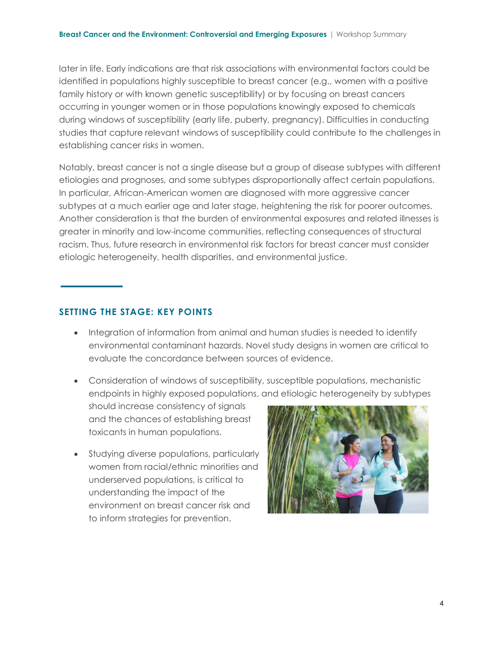later in life. Early indications are that risk associations with environmental factors could be identified in populations highly susceptible to breast cancer (e.g., women with a positive family history or with known genetic susceptibility) or by focusing on breast cancers occurring in younger women or in those populations knowingly exposed to chemicals during windows of susceptibility (early life, puberty, pregnancy). Difficulties in conducting studies that capture relevant windows of susceptibility could contribute to the challenges in establishing cancer risks in women.

Notably, breast cancer is not a single disease but a group of disease subtypes with different etiologies and prognoses, and some subtypes disproportionally affect certain populations. In particular, African-American women are diagnosed with more aggressive cancer subtypes at a much earlier age and later stage, heightening the risk for poorer outcomes. Another consideration is that the burden of environmental exposures and related illnesses is greater in minority and low-income communities, reflecting consequences of structural racism. Thus, future research in environmental risk factors for breast cancer must consider etiologic heterogeneity, health disparities, and environmental justice.

#### **SETTING THE STAGE: KEY POINTS**

- Integration of information from animal and human studies is needed to identify environmental contaminant hazards. Novel study designs in women are critical to evaluate the concordance between sources of evidence.
- Consideration of windows of susceptibility, susceptible populations, mechanistic endpoints in highly exposed populations, and etiologic heterogeneity by subtypes
- should increase consistency of signals and the chances of establishing breast toxicants in human populations.
- Studying diverse populations, particularly women from racial/ethnic minorities and underserved populations, is critical to understanding the impact of the environment on breast cancer risk and to inform strategies for prevention.

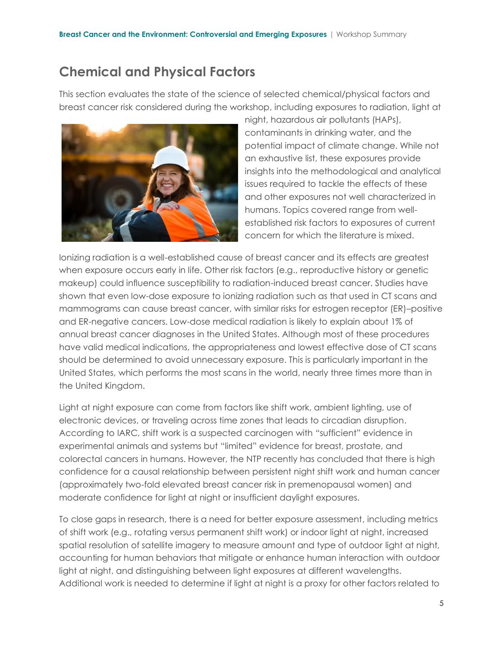### **Chemical and Physical Factors**

This section evaluates the state of the science of selected chemical/physical factors and breast cancer risk considered during the workshop, including exposures to radiation, light at



night, hazardous air pollutants (HAPs), contaminants in drinking water, and the potential impact of climate change. While not an exhaustive list, these exposures provide insights into the methodological and analytical issues required to tackle the effects of these and other exposures not well characterized in humans. Topics covered range from wellestablished risk factors to exposures of current concern for which the literature is mixed.

Ionizing radiation is a well-established cause of breast cancer and its effects are greatest when exposure occurs early in life. Other risk factors (e.g., reproductive history or genetic makeup) could influence susceptibility to radiation-induced breast cancer. Studies have shown that even low-dose exposure to ionizing radiation such as that used in CT scans and mammograms can cause breast cancer, with similar risks for estrogen receptor (ER)–positive and ER-negative cancers. Low-dose medical radiation is likely to explain about 1% of annual breast cancer diagnoses in the United States. Although most of these procedures have valid medical indications, the appropriateness and lowest effective dose of CT scans should be determined to avoid unnecessary exposure. This is particularly important in the United States, which performs the most scans in the world, nearly three times more than in the United Kingdom.

Light at night exposure can come from factors like shift work, ambient lighting, use of electronic devices, or traveling across time zones that leads to circadian disruption. According to IARC, shift work is a suspected carcinogen with "sufficient" evidence in experimental animals and systems but "limited" evidence for breast, prostate, and colorectal cancers in humans. However, the NTP recently has concluded that there is high confidence for a causal relationship between persistent night shift work and human cancer (approximately two-fold elevated breast cancer risk in premenopausal women) and moderate confidence for light at night or insufficient daylight exposures.

To close gaps in research, there is a need for better exposure assessment, including metrics of shift work (e.g., rotating versus permanent shift work) or indoor light at night, increased spatial resolution of satellite imagery to measure amount and type of outdoor light at night, accounting for human behaviors that mitigate or enhance human interaction with outdoor light at night, and distinguishing between light exposures at different wavelengths. Additional work is needed to determine if light at night is a proxy for other factors related to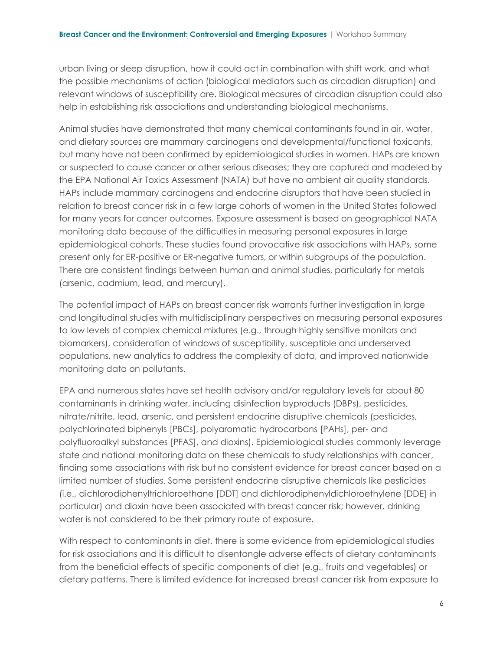urban living or sleep disruption, how it could act in combination with shift work, and what the possible mechanisms of action (biological mediators such as circadian disruption) and relevant windows of susceptibility are. Biological measures of circadian disruption could also help in establishing risk associations and understanding biological mechanisms.

Animal studies have demonstrated that many chemical contaminants found in air, water, and dietary sources are mammary carcinogens and developmental/functional toxicants, but many have not been confirmed by epidemiological studies in women. HAPs are known or suspected to cause cancer or other serious diseases; they are captured and modeled by the EPA National Air Toxics Assessment (NATA) but have no ambient air quality standards. HAPs include mammary carcinogens and endocrine disruptors that have been studied in relation to breast cancer risk in a few large cohorts of women in the United States followed for many years for cancer outcomes. Exposure assessment is based on geographical NATA monitoring data because of the difficulties in measuring personal exposures in large epidemiological cohorts. These studies found provocative risk associations with HAPs, some present only for ER-positive or ER-negative tumors, or within subgroups of the population. There are consistent findings between human and animal studies, particularly for metals (arsenic, cadmium, lead, and mercury).

The potential impact of HAPs on breast cancer risk warrants further investigation in large and longitudinal studies with multidisciplinary perspectives on measuring personal exposures to low levels of complex chemical mixtures (e.g., through highly sensitive monitors and biomarkers), consideration of windows of susceptibility, susceptible and underserved populations, new analytics to address the complexity of data, and improved nationwide monitoring data on pollutants.

EPA and numerous states have set health advisory and/or regulatory levels for about 80 contaminants in drinking water, including disinfection byproducts (DBPs), pesticides, nitrate/nitrite, lead, arsenic, and persistent endocrine disruptive chemicals (pesticides, polychlorinated biphenyls [PBCs], polyaromatic hydrocarbons [PAHs], per- and polyfluoroalkyl substances [PFAS], and dioxins). Epidemiological studies commonly leverage state and national monitoring data on these chemicals to study relationships with cancer, finding some associations with risk but no consistent evidence for breast cancer based on a limited number of studies. Some persistent endocrine disruptive chemicals like pesticides (i.e., dichlorodiphenyltrichloroethane [DDT] and dichlorodiphenyldichloroethylene [DDE] in particular) and dioxin have been associated with breast cancer risk; however, drinking water is not considered to be their primary route of exposure.

With respect to contaminants in diet, there is some evidence from epidemiological studies for risk associations and it is difficult to disentangle adverse effects of dietary contaminants from the beneficial effects of specific components of diet (e.g., fruits and vegetables) or dietary patterns. There is limited evidence for increased breast cancer risk from exposure to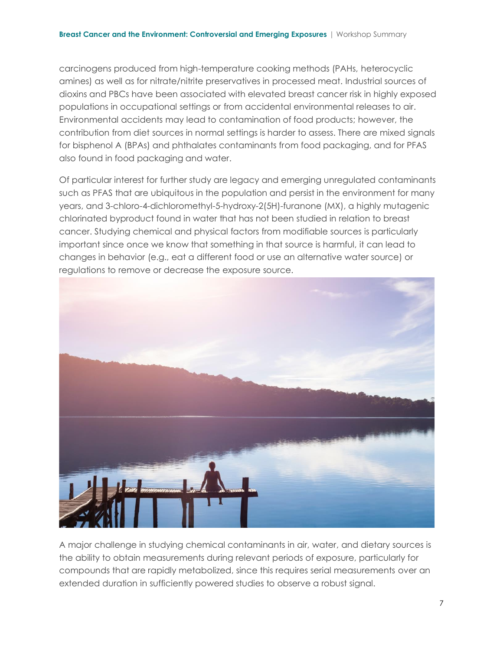carcinogens produced from high-temperature cooking methods (PAHs, heterocyclic amines) as well as for nitrate/nitrite preservatives in processed meat. Industrial sources of dioxins and PBCs have been associated with elevated breast cancer risk in highly exposed populations in occupational settings or from accidental environmental releases to air. Environmental accidents may lead to contamination of food products; however, the contribution from diet sources in normal settings is harder to assess. There are mixed signals for bisphenol A (BPAs) and phthalates contaminants from food packaging, and for PFAS also found in food packaging and water.

Of particular interest for further study are legacy and emerging unregulated contaminants such as PFAS that are ubiquitous in the population and persist in the environment for many years, and 3-chloro-4-dichloromethyl-5-hydroxy-2(5H)-furanone (MX), a highly mutagenic chlorinated byproduct found in water that has not been studied in relation to breast cancer. Studying chemical and physical factors from modifiable sources is particularly important since once we know that something in that source is harmful, it can lead to changes in behavior (e.g., eat a different food or use an alternative water source) or regulations to remove or decrease the exposure source.



A major challenge in studying chemical contaminants in air, water, and dietary sources is the ability to obtain measurements during relevant periods of exposure, particularly for compounds that are rapidly metabolized, since this requires serial measurements over an extended duration in sufficiently powered studies to observe a robust signal.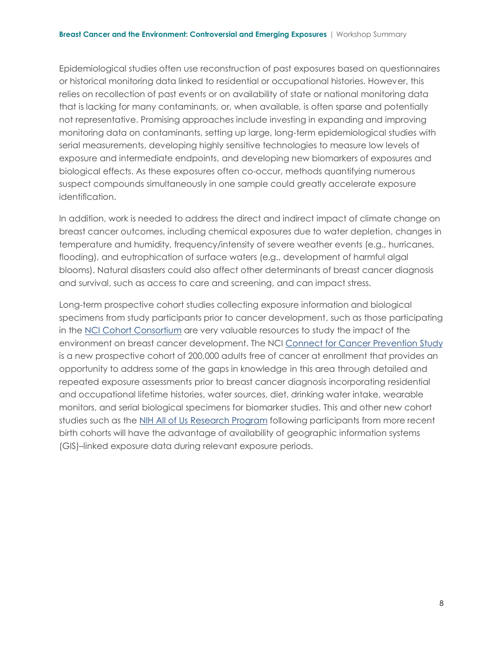Epidemiological studies often use reconstruction of past exposures based on questionnaires or historical monitoring data linked to residential or occupational histories. However, this relies on recollection of past events or on availability of state or national monitoring data that is lacking for many contaminants, or, when available, is often sparse and potentially not representative. Promising approaches include investing in expanding and improving monitoring data on contaminants, setting up large, long-term epidemiological studies with serial measurements, developing highly sensitive technologies to measure low levels of exposure and intermediate endpoints, and developing new biomarkers of exposures and biological effects. As these exposures often co-occur, methods quantifying numerous suspect compounds simultaneously in one sample could greatly accelerate exposure identification.

In addition, work is needed to address the direct and indirect impact of climate change on breast cancer outcomes, including chemical exposures due to water depletion, changes in temperature and humidity, frequency/intensity of severe weather events (e.g., hurricanes, flooding), and eutrophication of surface waters (e.g., development of harmful algal blooms). Natural disasters could also affect other determinants of breast cancer diagnosis and survival, such as access to care and screening, and can impact stress.

Long-term prospective cohort studies collecting exposure information and biological specimens from study participants prior to cancer development, such as those participating in the [NCI Cohort Consortium](https://epi.grants.cancer.gov/cohort-consortium/) are very valuable resources to study the impact of the environment on breast cancer development. The NCI [Connect for Cancer Prevention](https://www.cancer.gov/connect-prevention-study/) Study is a new prospective cohort of 200,000 adults free of cancer at enrollment that provides an opportunity to address some of the gaps in knowledge in this area through detailed and repeated exposure assessments prior to breast cancer diagnosis incorporating residential and occupational lifetime histories, water sources, diet, drinking water intake, wearable monitors, and serial biological specimens for biomarker studies. This and other new cohort studies such as the [NIH All of Us Research Program](https://allofus.nih.gov/) following participants from more recent birth cohorts will have the advantage of availability of geographic information systems (GIS)–linked exposure data during relevant exposure periods.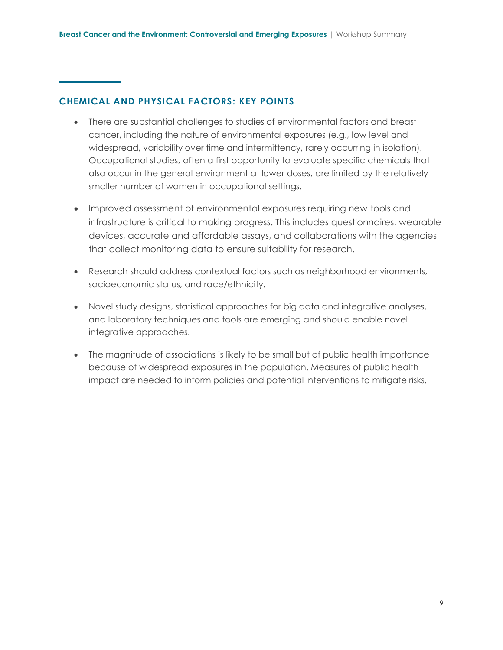#### **CHEMICAL AND PHYSICAL FACTORS: KEY POINTS**

- There are substantial challenges to studies of environmental factors and breast cancer, including the nature of environmental exposures (e.g., low level and widespread, variability over time and intermittency, rarely occurring in isolation). Occupational studies, often a first opportunity to evaluate specific chemicals that also occur in the general environment at lower doses, are limited by the relatively smaller number of women in occupational settings.
- Improved assessment of environmental exposures requiring new tools and infrastructure is critical to making progress. This includes questionnaires, wearable devices, accurate and affordable assays, and collaborations with the agencies that collect monitoring data to ensure suitability for research.
- Research should address contextual factors such as neighborhood environments, socioeconomic status, and race/ethnicity.
- Novel study designs, statistical approaches for big data and integrative analyses, and laboratory techniques and tools are emerging and should enable novel integrative approaches.
- The magnitude of associations is likely to be small but of public health importance because of widespread exposures in the population. Measures of public health impact are needed to inform policies and potential interventions to mitigate risks.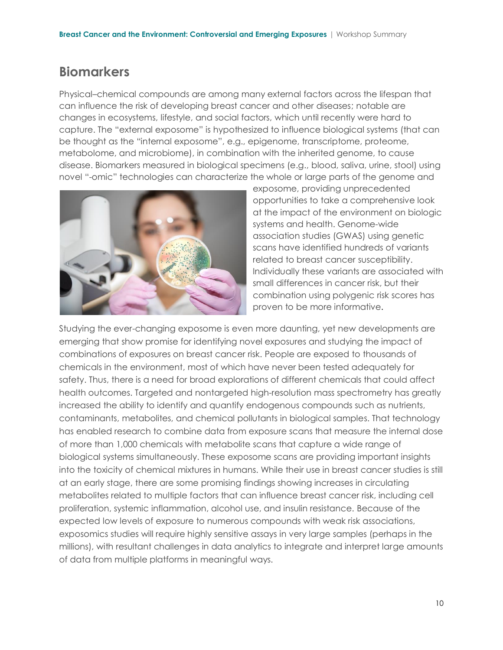### **Biomarkers**

Physical–chemical compounds are among many external factors across the lifespan that can influence the risk of developing breast cancer and other diseases; notable are changes in ecosystems, lifestyle, and social factors, which until recently were hard to capture. The "external exposome" is hypothesized to influence biological systems (that can be thought as the "internal exposome", e.g., epigenome, transcriptome, proteome, metabolome, and microbiome), in combination with the inherited genome, to cause disease. Biomarkers measured in biological specimens (e.g., blood, saliva, urine, stool) using novel "-omic" technologies can characterize the whole or large parts of the genome and



exposome, providing unprecedented opportunities to take a comprehensive look at the impact of the environment on biologic systems and health. Genome-wide association studies (GWAS) using genetic scans have identified hundreds of variants related to breast cancer susceptibility. Individually these variants are associated with small differences in cancer risk, but their combination using polygenic risk scores has proven to be more informative.

Studying the ever-changing exposome is even more daunting, yet new developments are emerging that show promise for identifying novel exposures and studying the impact of combinations of exposures on breast cancer risk. People are exposed to thousands of chemicals in the environment, most of which have never been tested adequately for safety. Thus, there is a need for broad explorations of different chemicals that could affect health outcomes. Targeted and nontargeted high-resolution mass spectrometry has greatly increased the ability to identify and quantify endogenous compounds such as nutrients, contaminants, metabolites, and chemical pollutants in biological samples. That technology has enabled research to combine data from exposure scans that measure the internal dose of more than 1,000 chemicals with metabolite scans that capture a wide range of biological systems simultaneously. These exposome scans are providing important insights into the toxicity of chemical mixtures in humans. While their use in breast cancer studies is still at an early stage, there are some promising findings showing increases in circulating metabolites related to multiple factors that can influence breast cancer risk, including cell proliferation, systemic inflammation, alcohol use, and insulin resistance. Because of the expected low levels of exposure to numerous compounds with weak risk associations, exposomics studies will require highly sensitive assays in very large samples (perhaps in the millions), with resultant challenges in data analytics to integrate and interpret large amounts of data from multiple platforms in meaningful ways.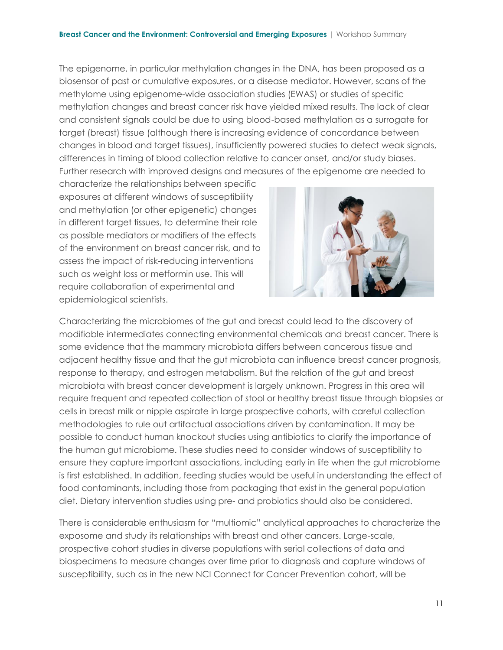The epigenome, in particular methylation changes in the DNA, has been proposed as a biosensor of past or cumulative exposures, or a disease mediator. However, scans of the methylome using epigenome-wide association studies (EWAS) or studies of specific methylation changes and breast cancer risk have yielded mixed results. The lack of clear and consistent signals could be due to using blood-based methylation as a surrogate for target (breast) tissue (although there is increasing evidence of concordance between changes in blood and target tissues), insufficiently powered studies to detect weak signals, differences in timing of blood collection relative to cancer onset, and/or study biases. Further research with improved designs and measures of the epigenome are needed to

characterize the relationships between specific exposures at different windows of susceptibility and methylation (or other epigenetic) changes in different target tissues, to determine their role as possible mediators or modifiers of the effects of the environment on breast cancer risk, and to assess the impact of risk-reducing interventions such as weight loss or metformin use. This will require collaboration of experimental and epidemiological scientists.



Characterizing the microbiomes of the gut and breast could lead to the discovery of modifiable intermediates connecting environmental chemicals and breast cancer. There is some evidence that the mammary microbiota differs between cancerous tissue and adjacent healthy tissue and that the gut microbiota can influence breast cancer prognosis, response to therapy, and estrogen metabolism. But the relation of the gut and breast microbiota with breast cancer development is largely unknown. Progress in this area will require frequent and repeated collection of stool or healthy breast tissue through biopsies or cells in breast milk or nipple aspirate in large prospective cohorts, with careful collection methodologies to rule out artifactual associations driven by contamination. It may be possible to conduct human knockout studies using antibiotics to clarify the importance of the human gut microbiome. These studies need to consider windows of susceptibility to ensure they capture important associations, including early in life when the gut microbiome is first established. In addition, feeding studies would be useful in understanding the effect of food contaminants, including those from packaging that exist in the general population diet. Dietary intervention studies using pre- and probiotics should also be considered.

There is considerable enthusiasm for "multiomic" analytical approaches to characterize the exposome and study its relationships with breast and other cancers. Large-scale, prospective cohort studies in diverse populations with serial collections of data and biospecimens to measure changes over time prior to diagnosis and capture windows of susceptibility, such as in the new NCI Connect for Cancer Prevention cohort, will be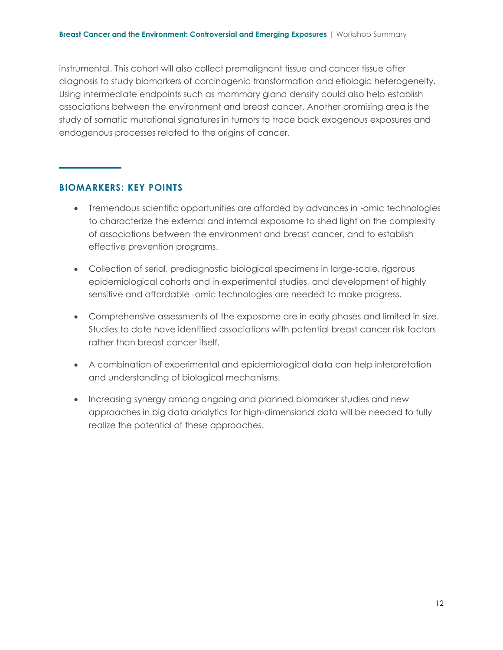instrumental. This cohort will also collect premalignant tissue and cancer tissue after diagnosis to study biomarkers of carcinogenic transformation and etiologic heterogeneity. Using intermediate endpoints such as mammary gland density could also help establish associations between the environment and breast cancer. Another promising area is the study of somatic mutational signatures in tumors to trace back exogenous exposures and endogenous processes related to the origins of cancer.

#### **BIOMARKERS: KEY POINTS**

- Tremendous scientific opportunities are afforded by advances in -omic technologies to characterize the external and internal exposome to shed light on the complexity of associations between the environment and breast cancer, and to establish effective prevention programs.
- Collection of serial, prediagnostic biological specimens in large-scale, rigorous epidemiological cohorts and in experimental studies, and development of highly sensitive and affordable -omic technologies are needed to make progress.
- Comprehensive assessments of the exposome are in early phases and limited in size. Studies to date have identified associations with potential breast cancer risk factors rather than breast cancer itself.
- A combination of experimental and epidemiological data can help interpretation and understanding of biological mechanisms.
- Increasing synergy among ongoing and planned biomarker studies and new approaches in big data analytics for high-dimensional data will be needed to fully realize the potential of these approaches.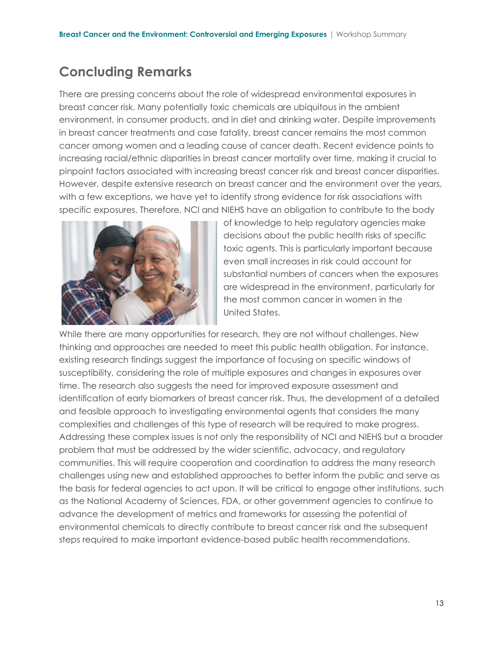### **Concluding Remarks**

There are pressing concerns about the role of widespread environmental exposures in breast cancer risk. Many potentially toxic chemicals are ubiquitous in the ambient environment, in consumer products, and in diet and drinking water. Despite improvements in breast cancer treatments and case fatality, breast cancer remains the most common cancer among women and a leading cause of cancer death. Recent evidence points to increasing racial/ethnic disparities in breast cancer mortality over time, making it crucial to pinpoint factors associated with increasing breast cancer risk and breast cancer disparities. However, despite extensive research on breast cancer and the environment over the years, with a few exceptions, we have yet to identify strong evidence for risk associations with specific exposures. Therefore, NCI and NIEHS have an obligation to contribute to the body



of knowledge to help regulatory agencies make decisions about the public health risks of specific toxic agents. This is particularly important because even small increases in risk could account for substantial numbers of cancers when the exposures are widespread in the environment, particularly for the most common cancer in women in the United States.

While there are many opportunities for research, they are not without challenges. New thinking and approaches are needed to meet this public health obligation. For instance, existing research findings suggest the importance of focusing on specific windows of susceptibility, considering the role of multiple exposures and changes in exposures over time. The research also suggests the need for improved exposure assessment and identification of early biomarkers of breast cancer risk. Thus, the development of a detailed and feasible approach to investigating environmental agents that considers the many complexities and challenges of this type of research will be required to make progress. Addressing these complex issues is not only the responsibility of NCI and NIEHS but a broader problem that must be addressed by the wider scientific, advocacy, and regulatory communities. This will require cooperation and coordination to address the many research challenges using new and established approaches to better inform the public and serve as the basis for federal agencies to act upon. It will be critical to engage other institutions, such as the National Academy of Sciences, FDA, or other government agencies to continue to advance the development of metrics and frameworks for assessing the potential of environmental chemicals to directly contribute to breast cancer risk and the subsequent steps required to make important evidence-based public health recommendations.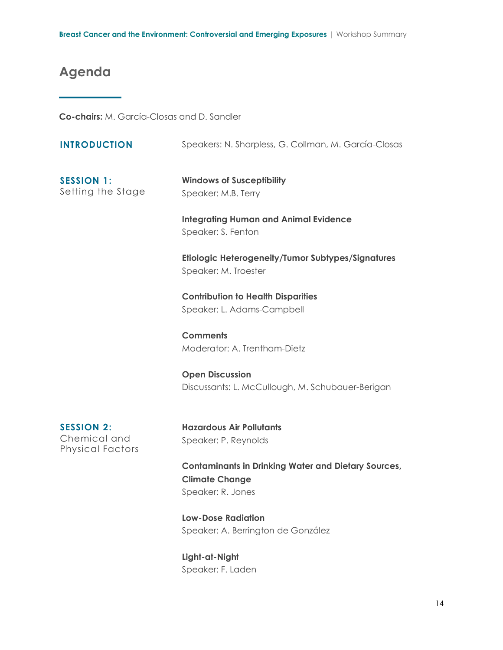# **Agenda**

**Co-chairs:** M. García-Closas and D. Sandler

| <b>INTRODUCTION</b>                                          | Speakers: N. Sharpless, G. Collman, M. García-Closas                                                     |
|--------------------------------------------------------------|----------------------------------------------------------------------------------------------------------|
| <b>SESSION 1:</b><br>Setting the Stage                       | <b>Windows of Susceptibility</b><br>Speaker: M.B. Terry                                                  |
|                                                              | <b>Integrating Human and Animal Evidence</b><br>Speaker: S. Fenton                                       |
|                                                              | Etiologic Heterogeneity/Tumor Subtypes/Signatures<br>Speaker: M. Troester                                |
|                                                              | <b>Contribution to Health Disparities</b><br>Speaker: L. Adams-Campbell                                  |
|                                                              | <b>Comments</b><br>Moderator: A. Trentham-Dietz                                                          |
|                                                              | <b>Open Discussion</b><br>Discussants: L. McCullough, M. Schubauer-Berigan                               |
| <b>SESSION 2:</b><br>Chemical and<br><b>Physical Factors</b> | <b>Hazardous Air Pollutants</b><br>Speaker: P. Reynolds                                                  |
|                                                              | <b>Contaminants in Drinking Water and Dietary Sources,</b><br><b>Climate Change</b><br>Speaker: R. Jones |
|                                                              | <b>Low-Dose Radiation</b><br>Speaker: A. Berrington de González                                          |

**Light-at-Night** Speaker: F. Laden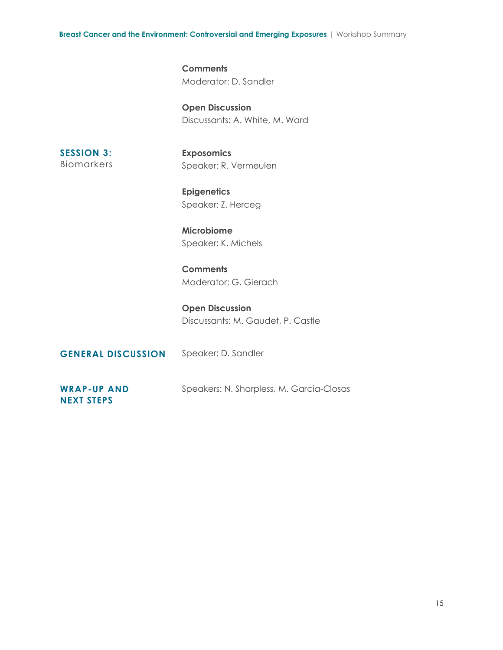**Breast Cancer and the Environment: Controversial and Emerging Exposures** | Workshop Summary

**Comments** Moderator: D. Sandler

**Open Discussion** Discussants: A. White, M. Ward

**SESSION 3:**  Biomarkers **Exposomics** Speaker: R. Vermeulen

**Epigenetics** Speaker: Z. Herceg

**Microbiome** Speaker: K. Michels

**Comments** Moderator: G. Gierach

**Open Discussion** Discussants: M. Gaudet, P. Castle

**GENERAL DISCUSSION** Speaker: D. Sandler **WRAP-UP AND NEXT STEPS** Speakers: N. Sharpless, M. García-Closas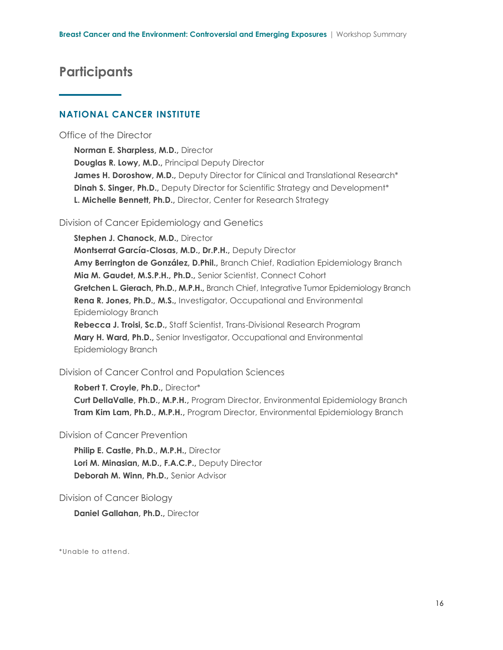### **Participants**

#### **NATIONAL CANCER INSTITUTE**

#### Office of the Director

**Norman E. Sharpless, M.D.,** Director **Douglas R. Lowy, M.D.,** Principal Deputy Director James H. Doroshow, M.D., Deputy Director for Clinical and Translational Research<sup>\*</sup> **Dinah S. Singer, Ph.D.,** Deputy Director for Scientific Strategy and Development<sup>\*</sup> **L. Michelle Bennett, Ph.D.,** Director, Center for Research Strategy

#### Division of Cancer Epidemiology and Genetics

**Stephen J. Chanock, M.D.,** Director **Montserrat García-Closas, M.D., Dr.P.H.,** Deputy Director **Amy Berrington de González, D.Phil.,** Branch Chief, Radiation Epidemiology Branch **Mia M. Gaudet, M.S.P.H., Ph.D.,** Senior Scientist, Connect Cohort **Gretchen L. Gierach, Ph.D., M.P.H.,** Branch Chief, Integrative Tumor Epidemiology Branch **Rena R. Jones, Ph.D., M.S.,** Investigator, Occupational and Environmental Epidemiology Branch

**Rebecca J. Troisi, Sc.D.,** Staff Scientist, Trans-Divisional Research Program **Mary H. Ward, Ph.D.,** Senior Investigator, Occupational and Environmental Epidemiology Branch

#### Division of Cancer Control and Population Sciences

**Robert T. Croyle, Ph.D.,** Director\* **Curt DellaValle, Ph.D., M.P.H.,** Program Director, Environmental Epidemiology Branch **Tram Kim Lam, Ph.D., M.P.H.,** Program Director, Environmental Epidemiology Branch

#### Division of Cancer Prevention

**Philip E. Castle, Ph.D., M.P.H.,** Director **Lori M. Minasian, M.D., F.A.C.P.,** Deputy Director **Deborah M. Winn, Ph.D.,** Senior Advisor

#### Division of Cancer Biology

**Daniel Gallahan, Ph.D.,** Director

\*Unable to attend.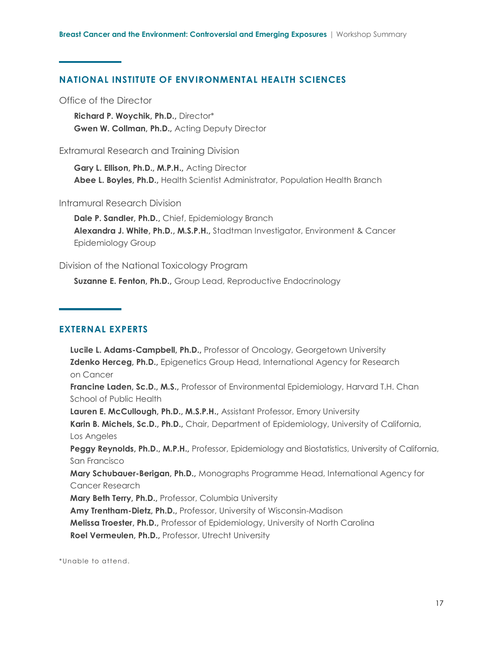#### **NATIONAL INSTITUTE OF ENVIRONMENTAL HEALTH SCIENCES**

Office of the Director

**Richard P. Woychik, Ph.D.,** Director\* **Gwen W. Collman, Ph.D.,** Acting Deputy Director

#### Extramural Research and Training Division

**Gary L. Ellison, Ph.D., M.P.H.,** Acting Director **Abee L. Boyles, Ph.D.,** Health Scientist Administrator, Population Health Branch

#### Intramural Research Division

**Dale P. Sandler, Ph.D.,** Chief, Epidemiology Branch **Alexandra J. White, Ph.D., M.S.P.H.,** Stadtman Investigator, Environment & Cancer Epidemiology Group

#### Division of the National Toxicology Program

**Suzanne E. Fenton, Ph.D.,** Group Lead, Reproductive Endocrinology

#### **EXTERNAL EXPERTS**

**Lucile L. Adams-Campbell, Ph.D.,** Professor of Oncology, Georgetown University **Zdenko Herceg, Ph.D.,** Epigenetics Group Head, International Agency for Research on Cancer **Francine Laden, Sc.D., M.S.,** Professor of Environmental Epidemiology, Harvard T.H. Chan School of Public Health **Lauren E. McCullough, Ph.D., M.S.P.H.,** Assistant Professor, Emory University **Karin B. Michels, Sc.D., Ph.D.,** Chair, Department of Epidemiology, University of California, Los Angeles **Peggy Reynolds, Ph.D., M.P.H.,** Professor, Epidemiology and Biostatistics, University of California, San Francisco **Mary Schubauer-Berigan, Ph.D.,** Monographs Programme Head, International Agency for Cancer Research **Mary Beth Terry, Ph.D.,** Professor, Columbia University **Amy Trentham-Dietz, Ph.D.,** Professor, University of Wisconsin-Madison **Melissa Troester, Ph.D.,** Professor of Epidemiology, University of North Carolina **Roel Vermeulen, Ph.D.,** Professor, Utrecht University

\*Unable to attend.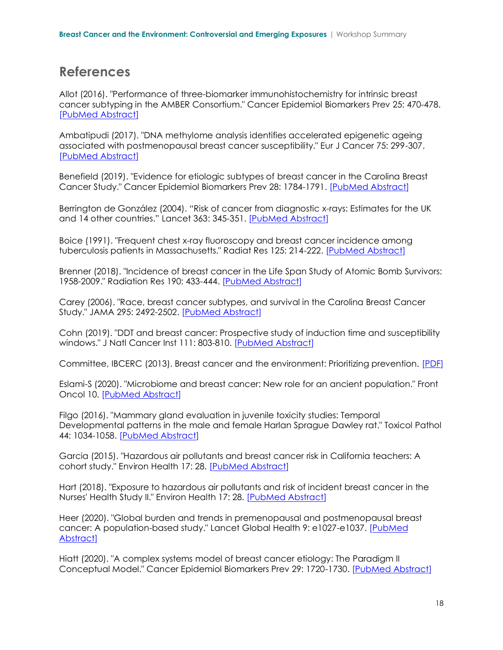### **References**

Allot (2016). "Performance of three-biomarker immunohistochemistry for intrinsic breast cancer subtyping in the AMBER Consortium." Cancer Epidemiol Biomarkers Prev 25: 470-478. [\[PubMed Abstract\]](https://pubmed.ncbi.nlm.nih.gov/26711328/)

Ambatipudi (2017). "DNA methylome analysis identifies accelerated epigenetic ageing associated with postmenopausal breast cancer susceptibility." Eur J Cancer 75: 299-307. [\[PubMed Abstract\]](https://pubmed.ncbi.nlm.nih.gov/28259012/)

Benefield (2019). "Evidence for etiologic subtypes of breast cancer in the Carolina Breast Cancer Study." Cancer Epidemiol Biomarkers Prev 28: 1784-1791. [\[PubMed Abstract\]](https://pubmed.ncbi.nlm.nih.gov/31395590/)

[Berrington de González](https://pubmed.ncbi.nlm.nih.gov/?term=Berrington+de+Gonz%C3%A1lez+A&cauthor_id=15070562) (2004). "Risk of cancer from diagnostic x-rays: Estimates for the UK and 14 other countries." Lancet 363: 345-351. [\[PubMed Abstract\]](https://pubmed.ncbi.nlm.nih.gov/15070562/)

Boice (1991). "Frequent chest x-ray fluoroscopy and breast cancer incidence among tuberculosis patients in Massachusetts." Radiat Res 125: 214-222. [\[PubMed Abstract\]](https://pubmed.ncbi.nlm.nih.gov/1996380/)

Brenner (2018). "Incidence of breast cancer in the Life Span Study of Atomic Bomb Survivors: 1958-2009." Radiation Res 190: 433-444. [\[PubMed Abstract\]](https://pubmed.ncbi.nlm.nih.gov/30044713/)

Carey (2006). "Race, breast cancer subtypes, and survival in the Carolina Breast Cancer Study." JAMA 295: 2492-2502. [\[PubMed Abstract\]](https://pubmed.ncbi.nlm.nih.gov/16757721/)

Cohn (2019). "DDT and breast cancer: Prospective study of induction time and susceptibility windows." J Natl Cancer Inst 111: 803-810. [\[PubMed Abstract\]](https://pubmed.ncbi.nlm.nih.gov/30759253/)

Committee, IBCERC (2013). Breast cancer and the environment: Prioritizing prevention. [\[PDF\]](https://www.niehs.nih.gov/about/assets/docs/breast_cancer_and_the_environment_prioritizing_prevention_508.pdf)

Eslami-S (2020). "Microbiome and breast cancer: New role for an ancient population." Front Oncol 10. [\[PubMed Abstract\]](https://pubmed.ncbi.nlm.nih.gov/32117767/)

Filgo (2016). "Mammary gland evaluation in juvenile toxicity studies: Temporal Developmental patterns in the male and female Harlan Sprague Dawley rat." Toxicol Pathol 44: 1034-1058. [\[PubMed Abstract\]](https://pubmed.ncbi.nlm.nih.gov/27613106/)

Garcia (2015). "Hazardous air pollutants and breast cancer risk in California teachers: A cohort study." Environ Health 17: 28. [\[PubMed Abstract\]](https://pubmed.ncbi.nlm.nih.gov/25636809/)

Hart (2018). "Exposure to hazardous air pollutants and risk of incident breast cancer in the Nurses' Health Study II." Environ Health 17: 28. [\[PubMed Abstract\]](https://pubmed.ncbi.nlm.nih.gov/29587753/)

Heer (2020). "Global burden and trends in premenopausal and postmenopausal breast cancer: A population-based study." Lancet Global Health 9: e1027-e1037. [\[PubMed](https://pubmed.ncbi.nlm.nih.gov/32710860/)  [Abstract\]](https://pubmed.ncbi.nlm.nih.gov/32710860/)

Hiatt (2020). "A complex systems model of breast cancer etiology: The Paradigm II Conceptual Model." Cancer Epidemiol Biomarkers Prev 29: 1720-1730. [\[PubMed Abstract\]](https://pubmed.ncbi.nlm.nih.gov/32641370/)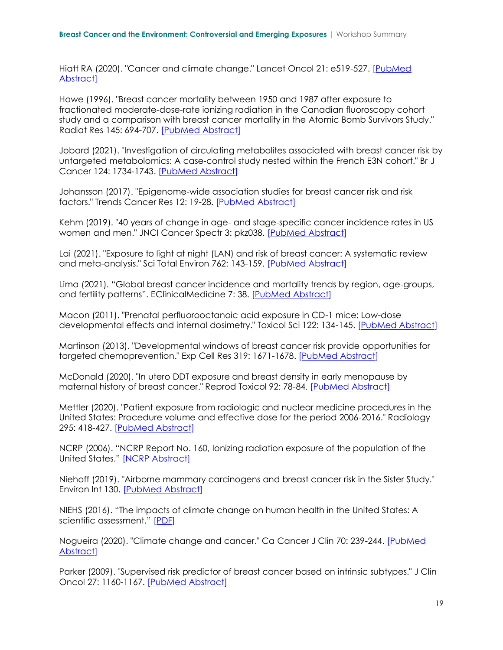Hiatt RA (2020). "Cancer and climate change." Lancet Oncol 21: e519-527. [\[PubMed](https://pubmed.ncbi.nlm.nih.gov/33152311/)  [Abstract\]](https://pubmed.ncbi.nlm.nih.gov/33152311/)

Howe (1996). "Breast cancer mortality between 1950 and 1987 after exposure to fractionated moderate-dose-rate ionizing radiation in the Canadian fluoroscopy cohort study and a comparison with breast cancer mortality in the Atomic Bomb Survivors Study." Radiat Res 145: 694-707. [\[PubMed Abstract\]](https://pubmed.ncbi.nlm.nih.gov/8643829/)

Jobard (2021). "Investigation of circulating metabolites associated with breast cancer risk by untargeted metabolomics: A case-control study nested within the French E3N cohort." Br J Cancer 124: 1734-1743. [\[PubMed Abstract\]](https://pubmed.ncbi.nlm.nih.gov/33723391/)

Johansson (2017). "Epigenome-wide association studies for breast cancer risk and risk factors." Trends Cancer Res 12: 19-28. [\[PubMed Abstract\]](https://pubmed.ncbi.nlm.nih.gov/28955137/)

Kehm (2019). "40 years of change in age- and stage-specific cancer incidence rates in US women and men." JNCI Cancer Spectr 3: pkz038. [\[PubMed Abstract\]](https://pubmed.ncbi.nlm.nih.gov/31414075/)

Lai (2021). "Exposure to light at night (LAN) and risk of breast cancer: A systematic review and meta-analysis." Sci Total Environ 762: 143-159. [\[PubMed Abstract\]](https://pubmed.ncbi.nlm.nih.gov/33131852/)

Lima (2021). "Global breast cancer incidence and mortality trends by region, age-groups, and fertility patterns". EClinicalMedicine 7: 38. [\[PubMed Abstract\]](https://pubmed.ncbi.nlm.nih.gov/34278281/)

Macon (2011). "Prenatal perfluorooctanoic acid exposure in CD-1 mice: Low-dose developmental effects and internal dosimetry." Toxicol Sci 122: 134-145. [\[PubMed Abstract\]](https://pubmed.ncbi.nlm.nih.gov/21482639/)

Martinson (2013). "Developmental windows of breast cancer risk provide opportunities for targeted chemoprevention." Exp Cell Res 319: 1671-1678. [\[PubMed Abstract\]](https://pubmed.ncbi.nlm.nih.gov/23664839/)

McDonald (2020). "In utero DDT exposure and breast density in early menopause by maternal history of breast cancer." Reprod Toxicol 92: 78-84. [\[PubMed Abstract\]](https://pubmed.ncbi.nlm.nih.gov/31421228/)

Mettler (2020). "Patient exposure from radiologic and nuclear medicine procedures in the United States: Procedure volume and effective dose for the period 2006-2016." Radiology 295: 418-427. [\[PubMed Abstract\]](https://pubmed.ncbi.nlm.nih.gov/32181730/)

NCRP (2006). "NCRP Report No. 160, Ionizing radiation exposure of the population of the United States." [NCRP [Abstract\]](https://ncrponline.org/publications/reports/ncrp-report-160-2/)

Niehoff (2019). "Airborne mammary carcinogens and breast cancer risk in the Sister Study." Environ Int 130. [\[PubMed Abstract\]](https://pubmed.ncbi.nlm.nih.gov/31226564/)

NIEHS (2016). "The impacts of climate change on human health in the United States: A scientific assessment." [\[PDF\]](https://health2016.globalchange.gov/)

Nogueira (2020). "Climate change and cancer." Ca Cancer J Clin 70: 239-244. [\[PubMed](https://pubmed.ncbi.nlm.nih.gov/32420634/)  [Abstract\]](https://pubmed.ncbi.nlm.nih.gov/32420634/)

Parker (2009). "Supervised risk predictor of breast cancer based on intrinsic subtypes." J Clin Oncol 27: 1160-1167. [\[PubMed Abstract\]](https://pubmed.ncbi.nlm.nih.gov/19204204/)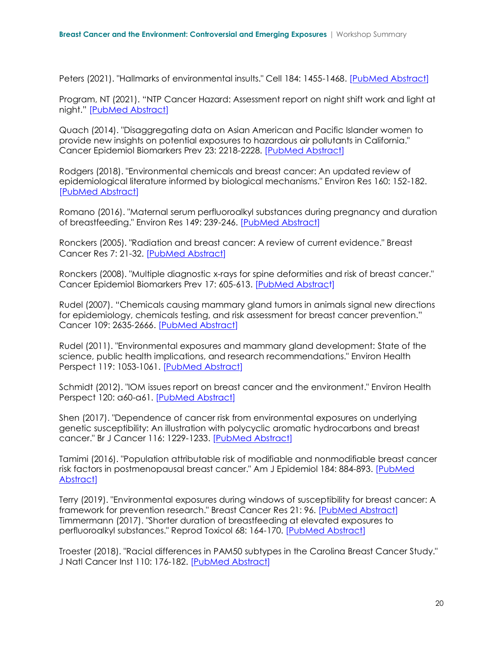Peters (2021). "Hallmarks of environmental insults." Cell 184: 1455-1468. [\[PubMed Abstract\]](https://pubmed.ncbi.nlm.nih.gov/33657411/)

Program, NT (2021). "NTP Cancer Hazard: Assessment report on night shift work and light at night." [\[PubMed Abstract\]](https://pubmed.ncbi.nlm.nih.gov/34197056/)

Quach (2014). "Disaggregating data on Asian American and Pacific Islander women to provide new insights on potential exposures to hazardous air pollutants in California." Cancer Epidemiol Biomarkers Prev 23: 2218-2228. [\[PubMed Abstract\]](https://pubmed.ncbi.nlm.nih.gov/25368397/)

Rodgers (2018). "Environmental chemicals and breast cancer: An updated review of epidemiological literature informed by biological mechanisms." Environ Res 160: 152-182. [\[PubMed Abstract\]](https://pubmed.ncbi.nlm.nih.gov/28987728/)

Romano (2016). "Maternal serum perfluoroalkyl substances during pregnancy and duration of breastfeeding." Environ Res 149: 239-246. [\[PubMed Abstract\]](https://pubmed.ncbi.nlm.nih.gov/27179585/)

Ronckers (2005). "Radiation and breast cancer: A review of current evidence." Breast Cancer Res 7: 21-32. [\[PubMed Abstract\]](https://pubmed.ncbi.nlm.nih.gov/15642178/)

Ronckers (2008). "Multiple diagnostic x-rays for spine deformities and risk of breast cancer." Cancer Epidemiol Biomarkers Prev 17: 605-613. [\[PubMed Abstract](https://pubmed.ncbi.nlm.nih.gov/18349278/)]

Rudel (2007). "Chemicals causing mammary gland tumors in animals signal new directions for epidemiology, chemicals testing, and risk assessment for breast cancer prevention." Cancer 109: 2635-2666. [\[PubMed Abstract\]](https://pubmed.ncbi.nlm.nih.gov/17503434/)

Rudel (2011). "Environmental exposures and mammary gland development: State of the science, public health implications, and research recommendations." Environ Health Perspect 119: 1053-1061. [\[PubMed Abstract\]](https://pubmed.ncbi.nlm.nih.gov/21697028/)

Schmidt (2012). "IOM issues report on breast cancer and the environment." Environ Health Perspect 120: a60-a61. [\[PubMed Abstract\]](https://pubmed.ncbi.nlm.nih.gov/22297389/)

Shen (2017). "Dependence of cancer risk from environmental exposures on underlying genetic susceptibility: An illustration with polycyclic aromatic hydrocarbons and breast cancer." Br J Cancer 116: 1229-1233. [\[PubMed Abstract\]](https://pubmed.ncbi.nlm.nih.gov/28350789/)

Tamimi (2016). "Population attributable risk of modifiable and nonmodifiable breast cancer risk factors in postmenopausal breast cancer." Am J Epidemiol 184: 884-893. [PubMed [Abstract\]](https://pubmed.ncbi.nlm.nih.gov/27923781/)

Terry (2019). "Environmental exposures during windows of susceptibility for breast cancer: A framework for prevention research." Breast Cancer Res 21: 96. [\[PubMed Abstract\]](https://pubmed.ncbi.nlm.nih.gov/31429809/) Timmermann (2017). "Shorter duration of breastfeeding at elevated exposures to perfluoroalkyl substances." Reprod Toxicol 68: 164-170. [\[PubMed Abstract\]](https://pubmed.ncbi.nlm.nih.gov/27421579/)

Troester (2018). "Racial differences in PAM50 subtypes in the Carolina Breast Cancer Study." J Natl Cancer Inst 110: 176-182. [\[PubMed Abstract\]](https://pubmed.ncbi.nlm.nih.gov/28859290/)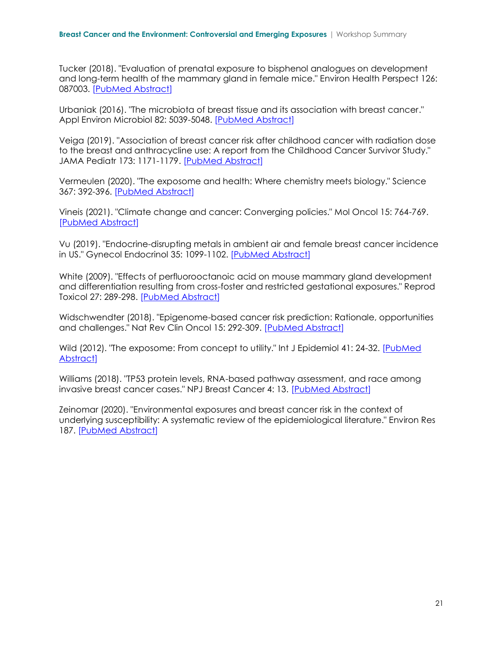Tucker (2018). "Evaluation of prenatal exposure to bisphenol analogues on development and long-term health of the mammary gland in female mice." Environ Health Perspect 126: 087003. [\[PubMed Abstract\]](https://pubmed.ncbi.nlm.nih.gov/30102602/)

Urbaniak (2016). "The microbiota of breast tissue and its association with breast cancer." Appl Environ Microbiol 82: 5039-5048. [\[PubMed Abstract\]](https://pubmed.ncbi.nlm.nih.gov/27342554/)

Veiga (2019). "Association of breast cancer risk after childhood cancer with radiation dose to the breast and anthracycline use: A report from the Childhood Cancer Survivor Study." JAMA Pediatr 173: 1171-1179. [\[PubMed Abstract\]](https://pubmed.ncbi.nlm.nih.gov/31657853/)

Vermeulen (2020). "The exposome and health: Where chemistry meets biology." Science 367: 392-396. [\[PubMed Abstract\]](https://pubmed.ncbi.nlm.nih.gov/31974245/)

Vineis (2021). "Climate change and cancer: Converging policies." Mol Oncol 15: 764-769. [\[PubMed Abstract\]](https://pubmed.ncbi.nlm.nih.gov/32964631/)

Vu (2019). "Endocrine-disrupting metals in ambient air and female breast cancer incidence in US." Gynecol Endocrinol 35: 1099-1102. [\[PubMed Abstract\]](https://pubmed.ncbi.nlm.nih.gov/31142157/)

White (2009). "Effects of perfluorooctanoic acid on mouse mammary gland development and differentiation resulting from cross-foster and restricted gestational exposures." Reprod Toxicol 27: 289-298. [\[PubMed Abstract\]](https://pubmed.ncbi.nlm.nih.gov/19095057/)

Widschwendter (2018). "Epigenome-based cancer risk prediction: Rationale, opportunities and challenges." Nat Rev Clin Oncol 15: 292-309. [\[PubMed Abstract\]](https://pubmed.ncbi.nlm.nih.gov/29485132/)

Wild (2012). "The exposome: From concept to utility." Int J Epidemiol 41: 24-32. [\[PubMed](https://pubmed.ncbi.nlm.nih.gov/22296988/)  [Abstract\]](https://pubmed.ncbi.nlm.nih.gov/22296988/)

Williams (2018). "TP53 protein levels, RNA-based pathway assessment, and race among invasive breast cancer cases." NPJ Breast Cancer 4: 13. [\[PubMed Abstract\]](https://pubmed.ncbi.nlm.nih.gov/29951581/)

Zeinomar (2020). "Environmental exposures and breast cancer risk in the context of underlying susceptibility: A systematic review of the epidemiological literature." Environ Res 187. [\[PubMed Abstract\]](https://pubmed.ncbi.nlm.nih.gov/32445942/)